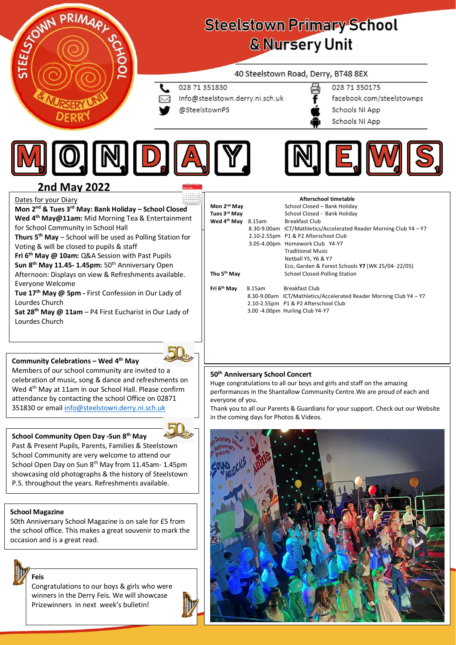